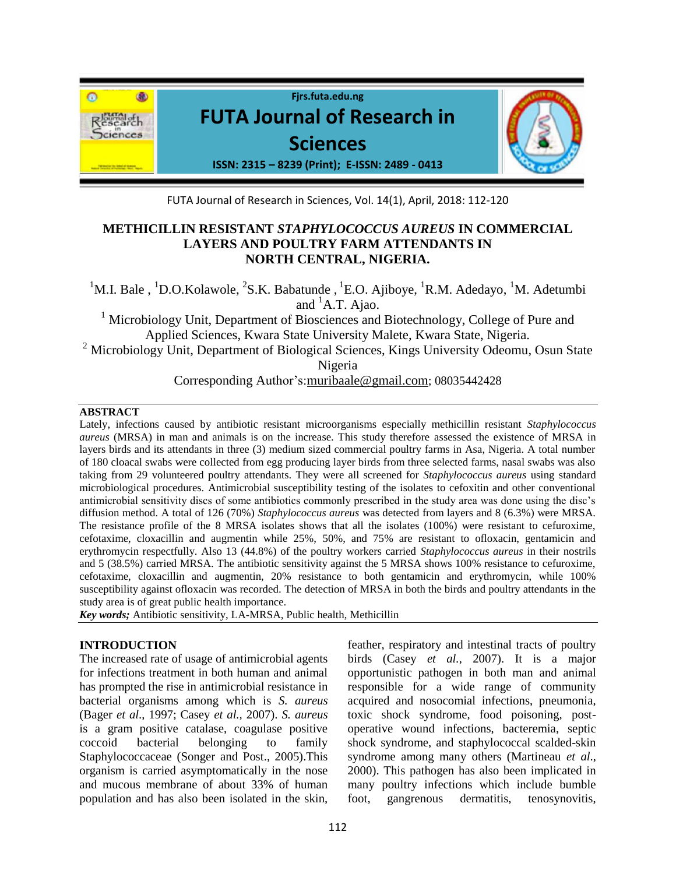

FUTA Journal of Research in Sciences, Vol. 14(1), April, 2018: 112-120

## **METHICILLIN RESISTANT** *STAPHYLOCOCCUS AUREUS* **IN COMMERCIAL LAYERS AND POULTRY FARM ATTENDANTS IN NORTH CENTRAL, NIGERIA.**

<sup>1</sup>M.I. Bale, <sup>1</sup>D.O.Kolawole, <sup>2</sup>S.K. Babatunde, <sup>1</sup>E.O. Ajiboye, <sup>1</sup>R.M. Adedayo, <sup>1</sup>M. Adetumbi and  ${}^{1}$ A.T. Ajao.

<sup>1</sup> Microbiology Unit, Department of Biosciences and Biotechnology, College of Pure and Applied Sciences, Kwara State University Malete, Kwara State, Nigeria. <sup>2</sup> Microbiology Unit, Department of Biological Sciences, Kings University Odeomu, Osun State Nigeria

Corresponding Author's[:muribaale@gmail.com](mailto:muribaale@gmail.com); 08035442428

#### **ABSTRACT**

Lately, infections caused by antibiotic resistant microorganisms especially methicillin resistant *Staphylococcus aureus* (MRSA) in man and animals is on the increase. This study therefore assessed the existence of MRSA in layers birds and its attendants in three (3) medium sized commercial poultry farms in Asa, Nigeria. A total number of 180 cloacal swabs were collected from egg producing layer birds from three selected farms, nasal swabs was also taking from 29 volunteered poultry attendants. They were all screened for *Staphylococcus aureus* using standard microbiological procedures. Antimicrobial susceptibility testing of the isolates to cefoxitin and other conventional antimicrobial sensitivity discs of some antibiotics commonly prescribed in the study area was done using the disc's diffusion method. A total of 126 (70%) *Staphylococcus aureus* was detected from layers and 8 (6.3%) were MRSA. The resistance profile of the 8 MRSA isolates shows that all the isolates (100%) were resistant to cefuroxime, cefotaxime, cloxacillin and augmentin while 25%, 50%, and 75% are resistant to ofloxacin, gentamicin and erythromycin respectfully. Also 13 (44.8%) of the poultry workers carried *Staphylococcus aureus* in their nostrils and 5 (38.5%) carried MRSA. The antibiotic sensitivity against the 5 MRSA shows 100% resistance to cefuroxime, cefotaxime, cloxacillin and augmentin, 20% resistance to both gentamicin and erythromycin, while 100% susceptibility against ofloxacin was recorded. The detection of MRSA in both the birds and poultry attendants in the study area is of great public health importance.

*Key words;* Antibiotic sensitivity, LA-MRSA, Public health, Methicillin

## **INTRODUCTION**

The increased rate of usage of antimicrobial agents for infections treatment in both human and animal has prompted the rise in antimicrobial resistance in bacterial organisms among which is *S. aureus* (Bager *et al*., 1997; Casey *et al.,* 2007). *S. aureus* is a gram positive catalase, coagulase positive coccoid bacterial belonging to family Staphylococcaceae (Songer and Post., 2005).This organism is carried asymptomatically in the nose and mucous membrane of about 33% of human population and has also been isolated in the skin,

feather, respiratory and intestinal tracts of poultry birds (Casey *et al.,* 2007). It is a major opportunistic pathogen in both man and animal responsible for a wide range of community acquired and nosocomial infections, pneumonia, toxic shock syndrome, food poisoning, postoperative wound infections, bacteremia, septic shock syndrome, and staphylococcal scalded-skin syndrome among many others (Martineau *et al*., 2000). This pathogen has also been implicated in many poultry infections which include bumble foot, gangrenous dermatitis, tenosynovitis,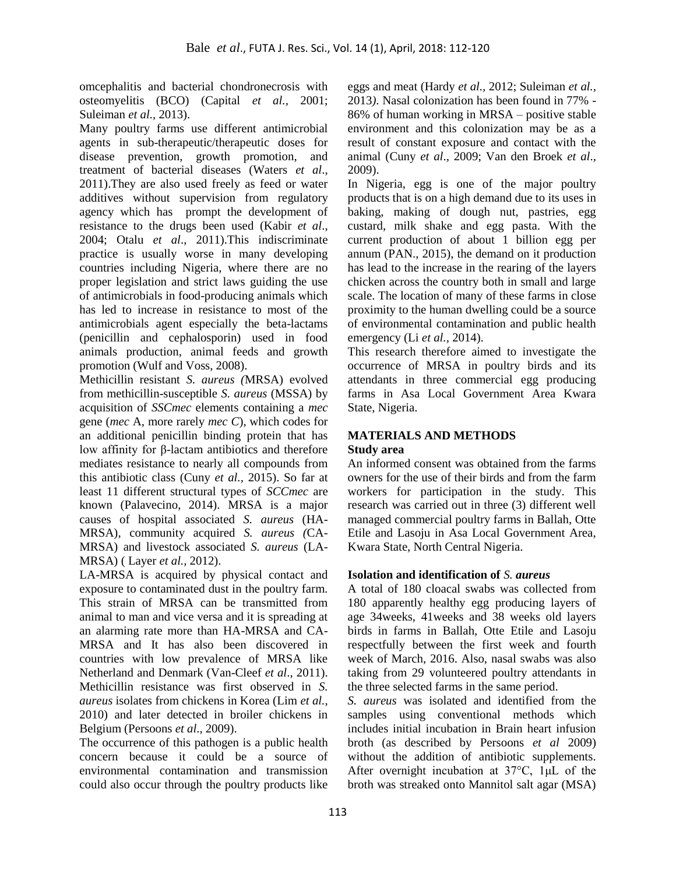omcephalitis and bacterial chondronecrosis with osteomyelitis (BCO) (Capital *et al.,* 2001; Suleiman *et al.,* 2013).

Many poultry farms use different antimicrobial agents in sub-therapeutic/therapeutic doses for disease prevention, growth promotion, and treatment of bacterial diseases (Waters *et al*., 2011).They are also used freely as feed or water additives without supervision from regulatory agency which has prompt the development of resistance to the drugs been used (Kabir *et al*., 2004; Otalu *et al*., 2011).This indiscriminate practice is usually worse in many developing countries including Nigeria, where there are no proper legislation and strict laws guiding the use of antimicrobials in food-producing animals which has led to increase in resistance to most of the antimicrobials agent especially the beta-lactams (penicillin and cephalosporin) used in food animals production, animal feeds and growth promotion (Wulf and Voss, 2008).

Methicillin resistant *S. aureus (*MRSA) evolved from methicillin-susceptible *S. aureus* (MSSA) by acquisition of *SSCmec* elements containing a *mec*  gene (*mec* A, more rarely *mec C*), which codes for an additional penicillin binding protein that has low affinity for β-lactam antibiotics and therefore mediates resistance to nearly all compounds from this antibiotic class (Cuny *et al.,* 2015). So far at least 11 different structural types of *SCCmec* are known (Palavecino, 2014). MRSA is a major causes of hospital associated *S. aureus* (HA-MRSA), community acquired *S. aureus (*CA-MRSA) and livestock associated *S. aureus* (LA-MRSA) ( Layer *et al.,* 2012).

LA-MRSA is acquired by physical contact and exposure to contaminated dust in the poultry farm. This strain of MRSA can be transmitted from animal to man and vice versa and it is spreading at an alarming rate more than HA-MRSA and CA-MRSA and It has also been discovered in countries with low prevalence of MRSA like Netherland and Denmark (Van-Cleef *et al*., 2011). Methicillin resistance was first observed in *S. aureus* isolates from chickens in Korea (Lim *et al.*, 2010) and later detected in broiler chickens in Belgium (Persoons *et al*., 2009).

The occurrence of this pathogen is a public health concern because it could be a source of environmental contamination and transmission could also occur through the poultry products like

eggs and meat (Hardy *et al.,* 2012; Suleiman *et al.,*  2013*)*. Nasal colonization has been found in 77% - 86% of human working in MRSA – positive stable environment and this colonization may be as a result of constant exposure and contact with the animal (Cuny *et al*., 2009; Van den Broek *et al*., 2009).

In Nigeria, egg is one of the major poultry products that is on a high demand due to its uses in baking, making of dough nut, pastries, egg custard, milk shake and egg pasta. With the current production of about 1 billion egg per annum (PAN., 2015), the demand on it production has lead to the increase in the rearing of the layers chicken across the country both in small and large scale. The location of many of these farms in close proximity to the human dwelling could be a source of environmental contamination and public health emergency (Li *et al.,* 2014).

This research therefore aimed to investigate the occurrence of MRSA in poultry birds and its attendants in three commercial egg producing farms in Asa Local Government Area Kwara State, Nigeria.

#### **MATERIALS AND METHODS Study area**

An informed consent was obtained from the farms owners for the use of their birds and from the farm workers for participation in the study. This research was carried out in three (3) different well managed commercial poultry farms in Ballah, Otte Etile and Lasoju in Asa Local Government Area, Kwara State, North Central Nigeria.

# **Isolation and identification of** *S. aureus*

A total of 180 cloacal swabs was collected from 180 apparently healthy egg producing layers of age 34weeks, 41weeks and 38 weeks old layers birds in farms in Ballah, Otte Etile and Lasoju respectfully between the first week and fourth week of March, 2016. Also, nasal swabs was also taking from 29 volunteered poultry attendants in the three selected farms in the same period.

*S. aureus* was isolated and identified from the samples using conventional methods which includes initial incubation in Brain heart infusion broth (as described by Persoons *et al* 2009) without the addition of antibiotic supplements. After overnight incubation at 37°C, 1μL of the broth was streaked onto Mannitol salt agar (MSA)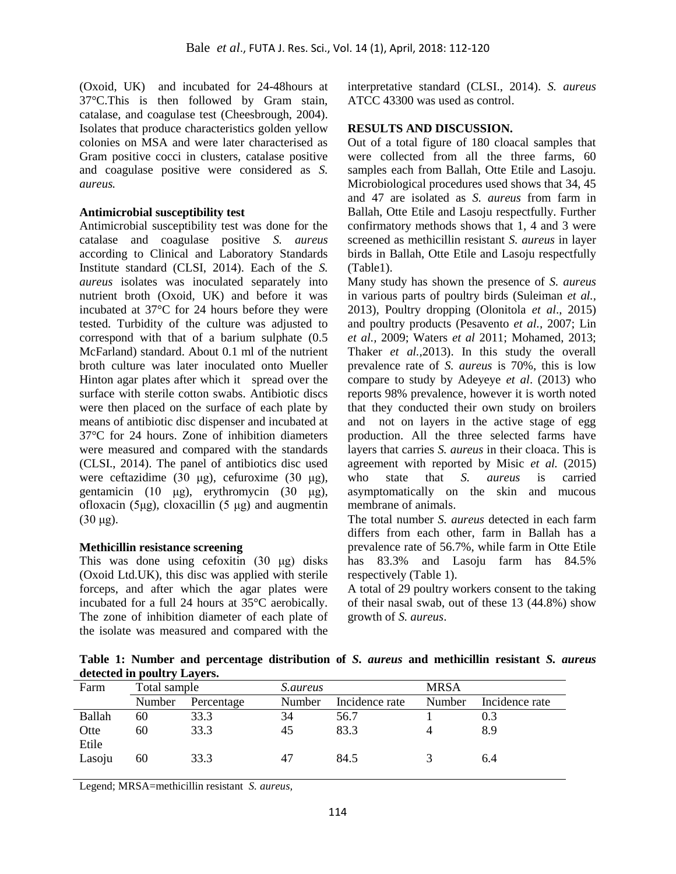(Oxoid, UK) and incubated for 24-48hours at 37°C.This is then followed by Gram stain, catalase, and coagulase test (Cheesbrough, 2004). Isolates that produce characteristics golden yellow colonies on MSA and were later characterised as Gram positive cocci in clusters, catalase positive and coagulase positive were considered as *S. aureus.*

#### **Antimicrobial susceptibility test**

Antimicrobial susceptibility test was done for the catalase and coagulase positive *S. aureus* according to Clinical and Laboratory Standards Institute standard (CLSI, 2014). Each of the *S. aureus* isolates was inoculated separately into nutrient broth (Oxoid, UK) and before it was incubated at 37°C for 24 hours before they were tested. Turbidity of the culture was adjusted to correspond with that of a barium sulphate (0.5 McFarland) standard. About 0.1 ml of the nutrient broth culture was later inoculated onto Mueller Hinton agar plates after which it spread over the surface with sterile cotton swabs. Antibiotic discs were then placed on the surface of each plate by means of antibiotic disc dispenser and incubated at 37°C for 24 hours. Zone of inhibition diameters were measured and compared with the standards (CLSI., 2014). The panel of antibiotics disc used were ceftazidime (30 μg), cefuroxime (30 μg), gentamicin (10 μg), erythromycin (30 μg), ofloxacin (5μg), cloxacillin (5 μg) and augmentin  $(30 \mu g)$ .

## **Methicillin resistance screening**

This was done using cefoxitin (30 μg) disks (Oxoid Ltd.UK), this disc was applied with sterile forceps, and after which the agar plates were incubated for a full 24 hours at 35°C aerobically. The zone of inhibition diameter of each plate of the isolate was measured and compared with the

interpretative standard (CLSI., 2014). *S. aureus* ATCC 43300 was used as control.

### **RESULTS AND DISCUSSION.**

Out of a total figure of 180 cloacal samples that were collected from all the three farms, 60 samples each from Ballah, Otte Etile and Lasoju. Microbiological procedures used shows that 34, 45 and 47 are isolated as *S. aureus* from farm in Ballah, Otte Etile and Lasoju respectfully. Further confirmatory methods shows that 1, 4 and 3 were screened as methicillin resistant *S. aureus* in layer birds in Ballah, Otte Etile and Lasoju respectfully (Table1).

Many study has shown the presence of *S. aureus* in various parts of poultry birds (Suleiman *et al.,* 2013), Poultry dropping (Olonitola *et al*., 2015) and poultry products (Pesavento *et al.,* 2007; Lin *et al.,* 2009; Waters *et al* 2011; Mohamed, 2013; Thaker *et al.,*2013). In this study the overall prevalence rate of *S. aureus* is 70%, this is low compare to study by Adeyeye *et al*. (2013) who reports 98% prevalence*,* however it is worth noted that they conducted their own study on broilers and not on layers in the active stage of egg production. All the three selected farms have layers that carries *S. aureus* in their cloaca. This is agreement with reported by Misic *et al.* (2015) who state that *S. aureus* is carried asymptomatically on the skin and mucous membrane of animals.

The total number *S. aureus* detected in each farm differs from each other, farm in Ballah has a prevalence rate of 56.7%, while farm in Otte Etile has 83.3% and Lasoju farm has 84.5% respectively (Table 1).

A total of 29 poultry workers consent to the taking of their nasal swab, out of these 13 (44.8%) show growth of *S. aureus*.

**Table 1: Number and percentage distribution of** *S. aureus* **and methicillin resistant** *S. aureus* **detected in poultry Layers.**

| Farm          | Total sample |            | <i>S.aureus</i> |                | <b>MRSA</b> |                |  |
|---------------|--------------|------------|-----------------|----------------|-------------|----------------|--|
|               | Number       | Percentage | Number          | Incidence rate | Number      | Incidence rate |  |
| Ballah        | 60           | 33.3       | 34              | 56.7           |             | 0.3            |  |
| Otte<br>Etile | 60           | 33.3       | 45              | 83.3           |             | 8.9            |  |
| Lasoju        | 60           | 33.3       | 47              | 84.5           |             | 6.4            |  |

Legend; MRSA=methicillin resistant *S. aureus,*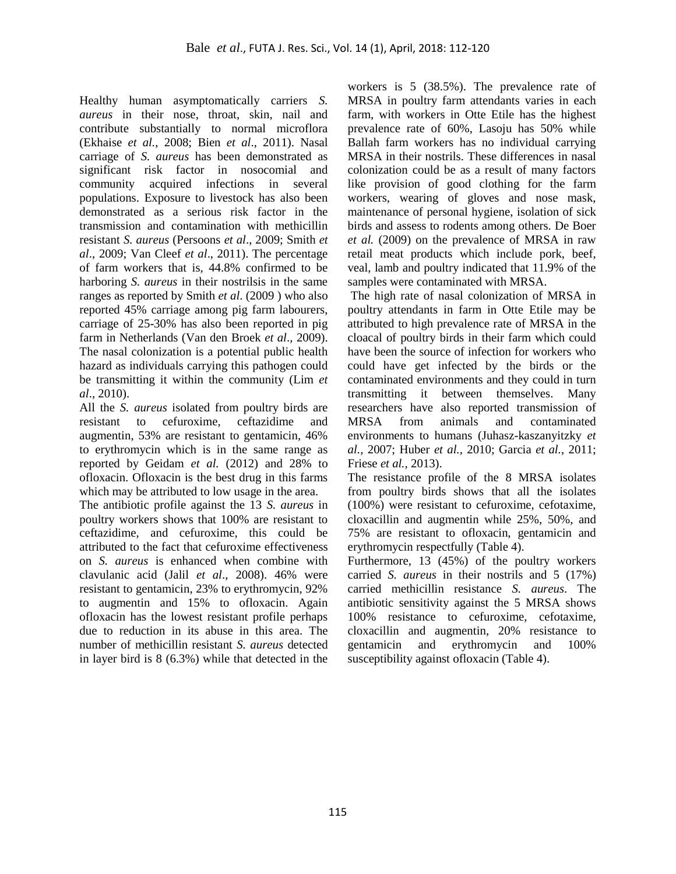Healthy human asymptomatically carriers *S. aureus* in their nose, throat, skin, nail and contribute substantially to normal microflora (Ekhaise *et al.,* 2008; Bien *et al*., 2011). Nasal carriage of *S. aureus* has been demonstrated as significant risk factor in nosocomial and community acquired infections in several populations. Exposure to livestock has also been demonstrated as a serious risk factor in the transmission and contamination with methicillin resistant *S. aureus* (Persoons *et al*., 2009; Smith *et al*., 2009; Van Cleef *et al*., 2011). The percentage of farm workers that is, 44.8% confirmed to be harboring *S. aureus* in their nostrilsis in the same ranges as reported by Smith *et al*. (2009 ) who also reported 45% carriage among pig farm labourers, carriage of 25-30% has also been reported in pig farm in Netherlands (Van den Broek *et al*., 2009). The nasal colonization is a potential public health hazard as individuals carrying this pathogen could be transmitting it within the community (Lim *et al*., 2010).

All the *S. aureus* isolated from poultry birds are resistant to cefuroxime, ceftazidime and augmentin, 53% are resistant to gentamicin, 46% to erythromycin which is in the same range as reported by Geidam *et al.* (2012) and 28% to ofloxacin. Ofloxacin is the best drug in this farms which may be attributed to low usage in the area.

The antibiotic profile against the 13 *S. aureus* in poultry workers shows that 100% are resistant to ceftazidime, and cefuroxime, this could be attributed to the fact that cefuroxime effectiveness on *S. aureus* is enhanced when combine with clavulanic acid (Jalil *et al*., 2008). 46% were resistant to gentamicin, 23% to erythromycin, 92% to augmentin and 15% to ofloxacin. Again ofloxacin has the lowest resistant profile perhaps due to reduction in its abuse in this area. The number of methicillin resistant *S. aureus* detected in layer bird is 8 (6.3%) while that detected in the

workers is 5 (38.5%). The prevalence rate of MRSA in poultry farm attendants varies in each farm, with workers in Otte Etile has the highest prevalence rate of 60%, Lasoju has 50% while Ballah farm workers has no individual carrying MRSA in their nostrils. These differences in nasal colonization could be as a result of many factors like provision of good clothing for the farm workers, wearing of gloves and nose mask, maintenance of personal hygiene, isolation of sick birds and assess to rodents among others. De Boer *et al.* (2009) on the prevalence of MRSA in raw retail meat products which include pork, beef, veal, lamb and poultry indicated that 11.9% of the samples were contaminated with MRSA.

The high rate of nasal colonization of MRSA in poultry attendants in farm in Otte Etile may be attributed to high prevalence rate of MRSA in the cloacal of poultry birds in their farm which could have been the source of infection for workers who could have get infected by the birds or the contaminated environments and they could in turn transmitting it between themselves. Many researchers have also reported transmission of MRSA from animals and contaminated environments to humans (Juhasz-kaszanyitzky *et al.,* 2007; Huber *et al.,* 2010; Garcia *et al.*, 2011; Friese *et al.,* 2013).

The resistance profile of the 8 MRSA isolates from poultry birds shows that all the isolates (100%) were resistant to cefuroxime, cefotaxime, cloxacillin and augmentin while 25%, 50%, and 75% are resistant to ofloxacin, gentamicin and erythromycin respectfully (Table 4).

Furthermore, 13 (45%) of the poultry workers carried *S. aureus* in their nostrils and 5 (17%) carried methicillin resistance *S. aureus*. The antibiotic sensitivity against the 5 MRSA shows 100% resistance to cefuroxime, cefotaxime, cloxacillin and augmentin, 20% resistance to gentamicin and erythromycin and 100% susceptibility against ofloxacin (Table 4).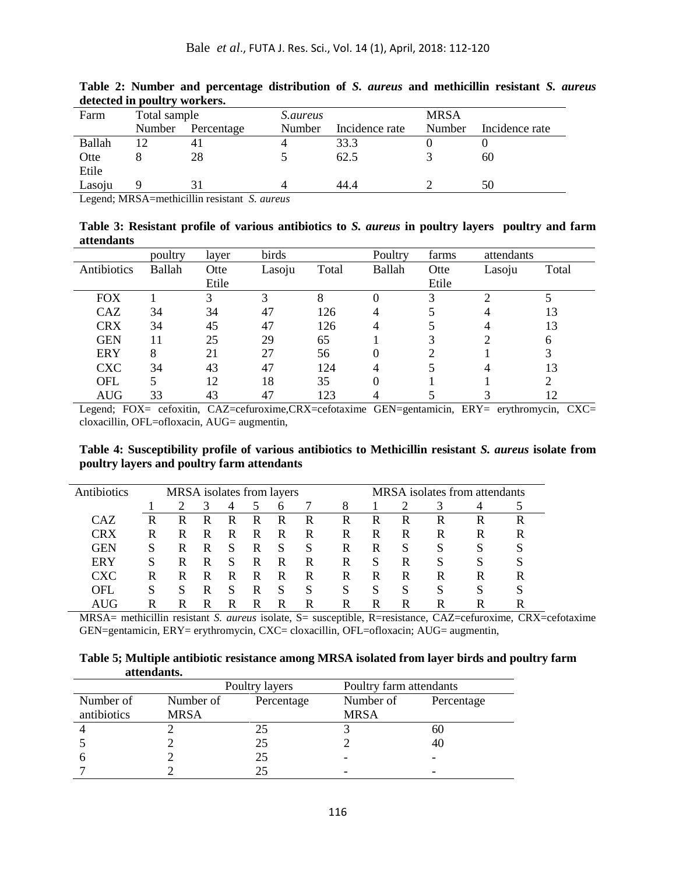| Farm   | Total sample |            | <i>S.aureus</i> |                | <b>MRSA</b> |                |  |
|--------|--------------|------------|-----------------|----------------|-------------|----------------|--|
|        | Number       | Percentage | Number          | Incidence rate | Number      | Incidence rate |  |
| Ballah |              | 41         |                 | 33.3           |             |                |  |
| Otte   |              | 28         |                 | 62.5           |             | 60             |  |
| Etile  |              |            |                 |                |             |                |  |
| Lasoju |              |            |                 | 44.4           |             | 50             |  |
|        |              |            |                 |                |             |                |  |

**Table 2: Number and percentage distribution of** *S. aureus* **and methicillin resistant** *S. aureus* **detected in poultry workers.**

Legend; MRSA=methicillin resistant *S. aureus*

| Table 3: Resistant profile of various antibiotics to S. aureus in poultry layers poultry and farm |  |  |  |  |  |
|---------------------------------------------------------------------------------------------------|--|--|--|--|--|
| attendants                                                                                        |  |  |  |  |  |

|             | poultry       | layer | birds  |       | Poultry  | farms | attendants |       |
|-------------|---------------|-------|--------|-------|----------|-------|------------|-------|
| Antibiotics | <b>Ballah</b> | Otte  | Lasoju | Total | Ballah   | Otte  | Lasoju     | Total |
|             |               | Etile |        |       |          | Etile |            |       |
| <b>FOX</b>  |               | 3     |        |       | 0        |       |            |       |
| CAZ         | 34            | 34    | 47     | 126   | 4        |       |            | 13    |
| <b>CRX</b>  | 34            | 45    | 47     | 126   | 4        |       |            | 13    |
| <b>GEN</b>  | 11            | 25    | 29     | 65    |          | 3     |            | 6     |
| <b>ERY</b>  | 8             | 21    | 27     | 56    | 0        |       |            | 3     |
| <b>CXC</b>  | 34            | 43    | 47     | 124   | 4        |       |            | 13    |
| OFL         |               | 12    | 18     | 35    | $\theta$ |       |            | 2     |
| <b>AUG</b>  | 33            | 43    | 47     | 123   |          |       |            | 12    |

Legend; FOX= cefoxitin, CAZ=cefuroxime,CRX=cefotaxime GEN=gentamicin, ERY= erythromycin, CXC= cloxacillin, OFL=ofloxacin, AUG= augmentin,

**Table 4: Susceptibility profile of various antibiotics to Methicillin resistant** *S. aureus* **isolate from poultry layers and poultry farm attendants** 

| Antibiotics | MRSA isolates from layers |   |   |              |   |   |   |   |   | MRSA isolates from attendants |   |   |   |
|-------------|---------------------------|---|---|--------------|---|---|---|---|---|-------------------------------|---|---|---|
|             |                           |   | 3 | 4            |   | 6 |   | 8 |   |                               | 3 |   |   |
| CAZ         | R                         | R | R | R            | R | R | R | R | R | R                             | R | R | R |
| CRX         | R                         | R | R | R            | R | R | R | R | R | R                             | R | R | R |
| <b>GEN</b>  |                           | R | R | S            | R | S | S | R | R |                               | S | S |   |
| <b>ERY</b>  |                           | R | R | S            | R | R | R | R | S | R                             | S | S |   |
| CXC         | R                         | R | R | R            | R | R | R | R | R | R                             | R | R | R |
| OFL         |                           |   | R | <sub>S</sub> | R | S | S | S | S | S                             | S |   |   |
| AUG         |                           |   | R |              |   |   | R | R | R | R                             | R |   | R |

MRSA= methicillin resistant *S. aureus* isolate, S= susceptible, R=resistance, CAZ=cefuroxime, CRX=cefotaxime GEN=gentamicin, ERY= erythromycin, CXC= cloxacillin, OFL=ofloxacin; AUG= augmentin,

**Table 5; Multiple antibiotic resistance among MRSA isolated from layer birds and poultry farm attendants.**

|             |             | Poultry layers | Poultry farm attendants |            |  |
|-------------|-------------|----------------|-------------------------|------------|--|
| Number of   | Number of   | Percentage     | Number of               | Percentage |  |
| antibiotics | <b>MRSA</b> |                | <b>MRSA</b>             |            |  |
|             |             | 25             |                         | 60         |  |
|             |             | 25             |                         |            |  |
|             |             | 25             |                         |            |  |
|             |             |                |                         |            |  |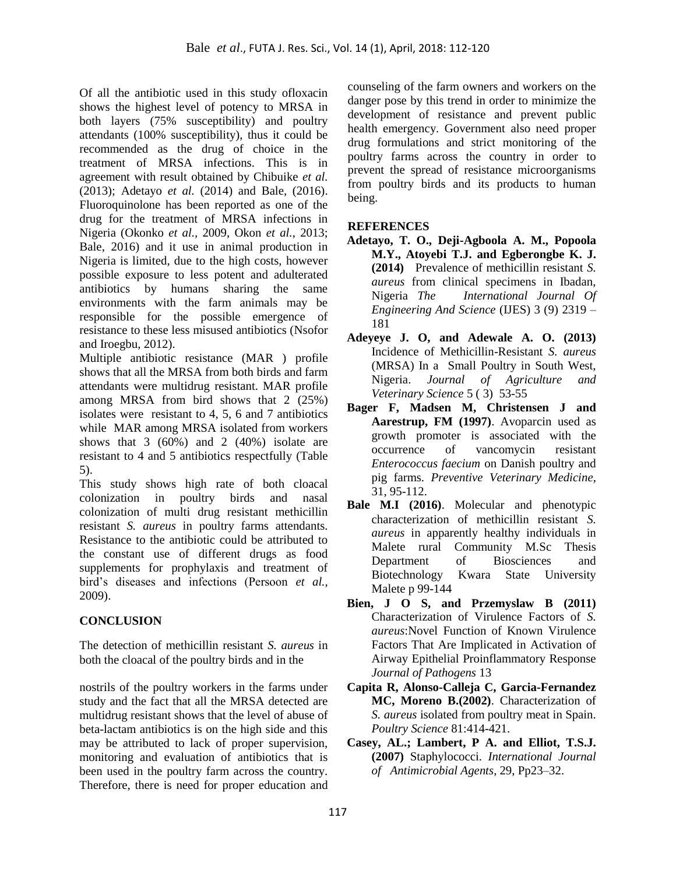Of all the antibiotic used in this study ofloxacin shows the highest level of potency to MRSA in both layers (75% susceptibility) and poultry attendants (100% susceptibility), thus it could be recommended as the drug of choice in the treatment of MRSA infections. This is in agreement with result obtained by Chibuike *et al.* (2013); Adetayo *et al.* (2014) and Bale, (2016). Fluoroquinolone has been reported as one of the drug for the treatment of MRSA infections in Nigeria (Okonko *et al.,* 2009, Okon *et al.*, 2013; Bale, 2016) and it use in animal production in Nigeria is limited, due to the high costs, however possible exposure to less potent and adulterated antibiotics by humans sharing the same environments with the farm animals may be responsible for the possible emergence of resistance to these less misused antibiotics (Nsofor and Iroegbu, 2012).

Multiple antibiotic resistance (MAR ) profile shows that all the MRSA from both birds and farm attendants were multidrug resistant. MAR profile among MRSA from bird shows that 2 (25%) isolates were resistant to 4, 5, 6 and 7 antibiotics while MAR among MRSA isolated from workers shows that 3 (60%) and 2 (40%) isolate are resistant to 4 and 5 antibiotics respectfully (Table 5).

This study shows high rate of both cloacal colonization in poultry birds and nasal colonization of multi drug resistant methicillin resistant *S. aureus* in poultry farms attendants. Resistance to the antibiotic could be attributed to the constant use of different drugs as food supplements for prophylaxis and treatment of bird's diseases and infections (Persoon *et al.,*  2009).

# **CONCLUSION**

The detection of methicillin resistant *S. aureus* in both the cloacal of the poultry birds and in the

nostrils of the poultry workers in the farms under study and the fact that all the MRSA detected are multidrug resistant shows that the level of abuse of beta-lactam antibiotics is on the high side and this may be attributed to lack of proper supervision, monitoring and evaluation of antibiotics that is been used in the poultry farm across the country. Therefore, there is need for proper education and

counseling of the farm owners and workers on the danger pose by this trend in order to minimize the development of resistance and prevent public health emergency. Government also need proper drug formulations and strict monitoring of the poultry farms across the country in order to prevent the spread of resistance microorganisms from poultry birds and its products to human being.

# **REFERENCES**

- **Adetayo, T. O., Deji-Agboola A. M., Popoola M.Y., Atoyebi T.J. and Egberongbe K. J. (2014)** Prevalence of methicillin resistant *S. aureus* from clinical specimens in Ibadan, Nigeria *The International Journal Of Engineering And Science* (IJES) 3 (9) 2319 – 181
- **Adeyeye J. O, and Adewale A. O. (2013)** Incidence of Methicillin-Resistant *S. aureus*  (MRSA) In a Small Poultry in South West, Nigeria. *Journal of Agriculture and Veterinary Science* 5 ( 3) 53-55
- **Bager F, Madsen M, Christensen J and Aarestrup, FM (1997)**. Avoparcin used as growth promoter is associated with the occurrence of vancomycin resistant *Enterococcus faecium* on Danish poultry and pig farms. *Preventive Veterinary Medicine*, 31, 95-112.
- **Bale M.I (2016)**. Molecular and phenotypic characterization of methicillin resistant *S. aureus* in apparently healthy individuals in Malete rural Community M.Sc Thesis Department of Biosciences and Biotechnology Kwara State University Malete p 99-144
- **Bien, J O S, and Przemyslaw B (2011)** Characterization of Virulence Factors of *S. aureus*:Novel Function of Known Virulence Factors That Are Implicated in Activation of Airway Epithelial Proinflammatory Response *Journal of Pathogens* 13
- **Capita R, Alonso-Calleja C, Garcia-Fernandez MC, Moreno B.(2002)**. Characterization of *S. aureus* isolated from poultry meat in Spain. *Poultry Science* 81:414-421.
- **Casey, AL.; Lambert, P A. and Elliot, T.S.J. (2007)** Staphylococci. *International Journal of Antimicrobial Agents*, 29, Pp23–32.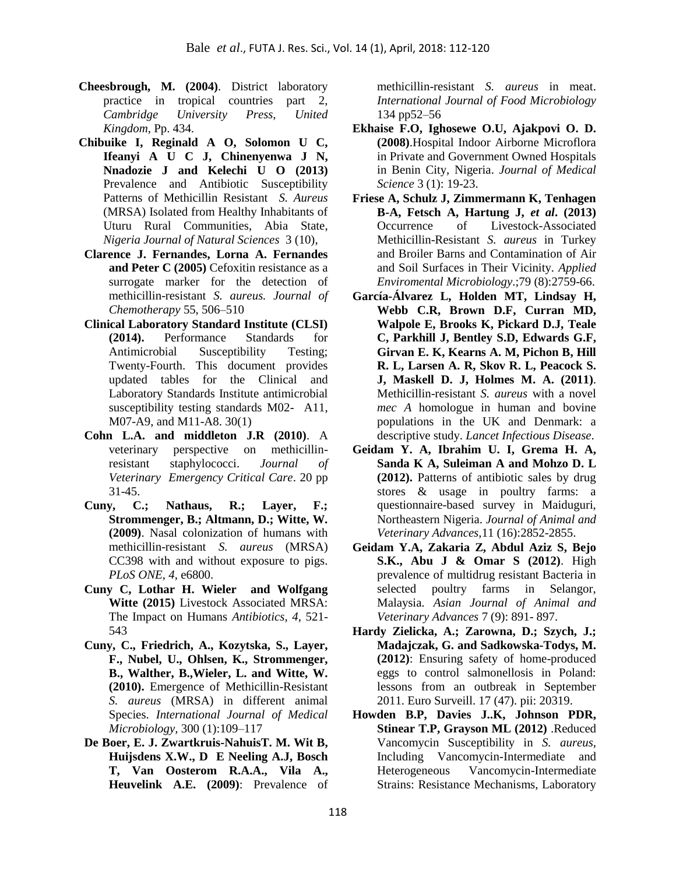- **Cheesbrough, M. (2004)**. District laboratory practice in tropical countries part 2, *Cambridge University Press, United Kingdom*, Pp. 434.
- **Chibuike I, Reginald A O, Solomon U C, Ifeanyi A U C J, Chinenyenwa J N, Nnadozie J and Kelechi U O (2013)** Prevalence and Antibiotic Susceptibility Patterns of Methicillin Resistant *S. Aureus*  (MRSA) Isolated from Healthy Inhabitants of Uturu Rural Communities, Abia State, *Nigeria Journal of Natural Sciences* [3 \(10\),](https://iiste.org/Journals/index.php/JNSR/issue/view/803)
- **Clarence J. Fernandes, Lorna A. Fernandes and Peter C (2005)** Cefoxitin resistance as a surrogate marker for the detection of methicillin-resistant *S. aureus. Journal of Chemotherapy* 55, 506–510
- **Clinical Laboratory Standard Institute (CLSI) (2014).** Performance Standards for Antimicrobial Susceptibility Testing; Twenty-Fourth. This document provides updated tables for the Clinical and Laboratory Standards Institute antimicrobial susceptibility testing standards M02- A11, M07-A9, and M11-A8. 30(1)
- **Cohn L.A. and middleton J.R (2010)**. A veterinary perspective on methicillinresistant staphylococci. *Journal of Veterinary Emergency Critical Care*. 20 pp 31-45.
- **Cuny, C.; Nathaus, R.; Layer, F.; Strommenger, B.; Altmann, D.; Witte, W. (2009)**. Nasal colonization of humans with methicillin-resistant *S. aureus* (MRSA) CC398 with and without exposure to pigs. *PLoS ONE*, *4*, e6800.
- **Cuny C, Lothar H. Wieler and Wolfgang Witte (2015)** Livestock Associated MRSA: The Impact on Humans *Antibiotics*, *4*, 521- 543
- **Cuny, C., Friedrich, A., Kozytska, S., Layer, F., Nubel, U., Ohlsen, K., Strommenger, B., Walther, B.,Wieler, L. and Witte, W. (2010).** Emergence of Methicillin-Resistant *S. aureus* (MRSA) in different animal Species. *International Journal of Medical Microbiology,* 300 (1):109–117
- **De Boer, E. J. Zwartkruis-NahuisT. M. Wit B, Huijsdens X.W., D E Neeling A.J, Bosch T, Van Oosterom R.A.A., Vila A., Heuvelink A.E. (2009)**: Prevalence of

methicillin-resistant *S. aureus* in meat. *International Journal of Food Microbiology*  134 pp52–56

- **Ekhaise F.O, Ighosewe O.U, Ajakpovi O. D. (2008)**.Hospital Indoor Airborne Microflora in Private and Government Owned Hospitals in Benin City, Nigeria. *Journal of Medical Science* 3 (1): 19-23.
- **Friese A, Schulz J, Zimmermann K, Tenhagen B-A, Fetsch A, Hartung J,** *et al***. (2013)** Occurrence of Livestock-Associated Methicillin-Resistant *S. aureus* in Turkey and Broiler Barns and Contamination of Air and Soil Surfaces in Their Vicinity. *Applied Enviromental Microbiology*.;79 (8):2759-66.
- **[García-Álvarez L,](http://www.ncbi.nlm.nih.gov/pubmed/?term=Garc%C3%ADa-%C3%81lvarez%20L%5BAuthor%5D&cauthor=true&cauthor_uid=21641281) [Holden MT,](http://www.ncbi.nlm.nih.gov/pubmed/?term=Holden%20MT%5BAuthor%5D&cauthor=true&cauthor_uid=21641281) [Lindsay H,](http://www.ncbi.nlm.nih.gov/pubmed/?term=Lindsay%20H%5BAuthor%5D&cauthor=true&cauthor_uid=21641281) [Webb C.R,](http://www.ncbi.nlm.nih.gov/pubmed/?term=Webb%20CR%5BAuthor%5D&cauthor=true&cauthor_uid=21641281) [Brown D.F,](http://www.ncbi.nlm.nih.gov/pubmed/?term=Brown%20DF%5BAuthor%5D&cauthor=true&cauthor_uid=21641281) [Curran MD,](http://www.ncbi.nlm.nih.gov/pubmed/?term=Curran%20MD%5BAuthor%5D&cauthor=true&cauthor_uid=21641281) [Walpole E,](http://www.ncbi.nlm.nih.gov/pubmed/?term=Walpole%20E%5BAuthor%5D&cauthor=true&cauthor_uid=21641281) [Brooks K,](http://www.ncbi.nlm.nih.gov/pubmed/?term=Brooks%20K%5BAuthor%5D&cauthor=true&cauthor_uid=21641281) [Pickard D.J,](http://www.ncbi.nlm.nih.gov/pubmed/?term=Pickard%20DJ%5BAuthor%5D&cauthor=true&cauthor_uid=21641281) [Teale](http://www.ncbi.nlm.nih.gov/pubmed/?term=Teale%20C%5BAuthor%5D&cauthor=true&cauthor_uid=21641281)  [C,](http://www.ncbi.nlm.nih.gov/pubmed/?term=Teale%20C%5BAuthor%5D&cauthor=true&cauthor_uid=21641281) [Parkhill J,](http://www.ncbi.nlm.nih.gov/pubmed/?term=Parkhill%20J%5BAuthor%5D&cauthor=true&cauthor_uid=21641281) [Bentley S.D,](http://www.ncbi.nlm.nih.gov/pubmed/?term=Bentley%20SD%5BAuthor%5D&cauthor=true&cauthor_uid=21641281) [Edwards G.F,](http://www.ncbi.nlm.nih.gov/pubmed/?term=Edwards%20GF%5BAuthor%5D&cauthor=true&cauthor_uid=21641281) [Girvan E. K,](http://www.ncbi.nlm.nih.gov/pubmed/?term=Girvan%20EK%5BAuthor%5D&cauthor=true&cauthor_uid=21641281) [Kearns A. M,](http://www.ncbi.nlm.nih.gov/pubmed/?term=Kearns%20AM%5BAuthor%5D&cauthor=true&cauthor_uid=21641281) [Pichon B,](http://www.ncbi.nlm.nih.gov/pubmed/?term=Pichon%20B%5BAuthor%5D&cauthor=true&cauthor_uid=21641281) [Hill](http://www.ncbi.nlm.nih.gov/pubmed/?term=Hill%20RL%5BAuthor%5D&cauthor=true&cauthor_uid=21641281)  [R. L,](http://www.ncbi.nlm.nih.gov/pubmed/?term=Hill%20RL%5BAuthor%5D&cauthor=true&cauthor_uid=21641281) [Larsen A. R,](http://www.ncbi.nlm.nih.gov/pubmed/?term=Larsen%20AR%5BAuthor%5D&cauthor=true&cauthor_uid=21641281) [Skov R. L,](http://www.ncbi.nlm.nih.gov/pubmed/?term=Skov%20RL%5BAuthor%5D&cauthor=true&cauthor_uid=21641281) [Peacock S.](http://www.ncbi.nlm.nih.gov/pubmed/?term=Peacock%20SJ%5BAuthor%5D&cauthor=true&cauthor_uid=21641281)  [J,](http://www.ncbi.nlm.nih.gov/pubmed/?term=Peacock%20SJ%5BAuthor%5D&cauthor=true&cauthor_uid=21641281) [Maskell D. J,](http://www.ncbi.nlm.nih.gov/pubmed/?term=Maskell%20DJ%5BAuthor%5D&cauthor=true&cauthor_uid=21641281) [Holmes M. A.](http://www.ncbi.nlm.nih.gov/pubmed/?term=Holmes%20MA%5BAuthor%5D&cauthor=true&cauthor_uid=21641281) (2011)**. Methicillin-resistant *S. aureus* with a novel *mec A* homologue in human and bovine populations in the UK and Denmark: a descriptive study. *Lancet Infectious Disease*.
- **Geidam Y. A, Ibrahim U. I, Grema H. A, Sanda K A, Suleiman A and Mohzo D. L (2012).** Patterns of antibiotic sales by drug stores & usage in poultry farms: a questionnaire-based survey in Maiduguri, Northeastern Nigeria. *Journal of Animal and Veterinary Advances,*11 (16):2852-2855.
- **Geidam Y.A, Zakaria Z, Abdul Aziz S, Bejo S.K., Abu J & Omar S (2012)**. High prevalence of multidrug resistant Bacteria in selected poultry farms in Selangor, Malaysia*. Asian Journal of Animal and Veterinary Advances* 7 (9): 891- 897.
- **Hardy Zielicka, A.; Zarowna, D.; Szych, J.; Madajczak, G. and Sadkowska-Todys, M. (2012)**: Ensuring safety of home-produced eggs to control salmonellosis in Poland: lessons from an outbreak in September 2011. Euro Surveill. 17 (47). pii: 20319.
- **Howden B.P, Davies J..K, Johnson PDR, Stinear T.P, Grayson ML (2012)** .Reduced Vancomycin Susceptibility in *S. aureus*, Including Vancomycin-Intermediate and Heterogeneous Vancomycin-Intermediate Strains: Resistance Mechanisms, Laboratory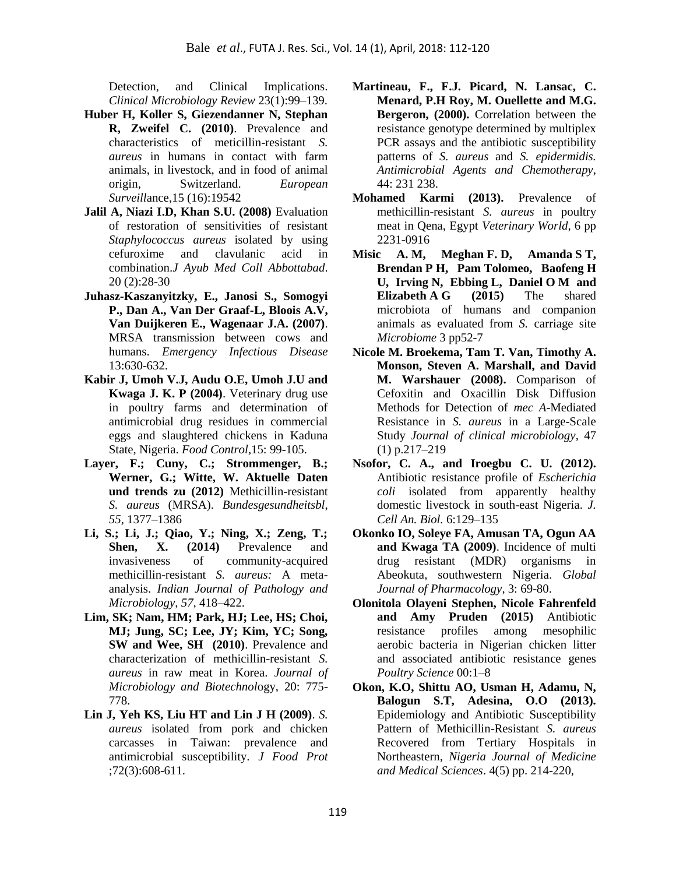Detection, and Clinical Implications. *Clinical Microbiology Review* 23(1):99–139.

- **Huber H, Koller S, Giezendanner N, Stephan R, Zweifel C. (2010)**. Prevalence and characteristics of meticillin-resistant *S. aureus* in humans in contact with farm animals, in livestock, and in food of animal origin, Switzerland. *European Surveill*ance,15 (16):19542
- **Jalil A, Niazi I.D, Khan S.U. (2008)** Evaluation of restoration of sensitivities of resistant *Staphylococcus aureus* isolated by using cefuroxime and clavulanic acid in combination.*J Ayub Med Coll Abbottabad*. 20 (2):28-30
- **Juhasz-Kaszanyitzky, E., Janosi S., Somogyi P., Dan A., Van Der Graaf-L, Bloois A.V, Van Duijkeren E., Wagenaar J.A. (2007)**. MRSA transmission between cows and humans. *Emergency Infectious Disease* 13:630-632.
- **Kabir J, Umoh V.J, Audu O.E, Umoh J.U and Kwaga J. K. P (2004)**. Veterinary drug use in poultry farms and determination of antimicrobial drug residues in commercial eggs and slaughtered chickens in Kaduna State, Nigeria. *Food Control,*15: 99-105.
- Layer, F.; Cuny, C.; Strommenger, B.; **Werner, G.; Witte, W. Aktuelle Daten und trends zu (2012)** Methicillin-resistant *S. aureus* (MRSA). *Bundesgesundheitsbl*, *55*, 1377–1386
- **Li, S.; Li, J.; Qiao, Y.; Ning, X.; Zeng, T.; Shen, X. (2014)** Prevalence and invasiveness of community-acquired methicillin-resistant *S. aureus:* A metaanalysis. *Indian Journal of Pathology and Microbiology*, *57*, 418–422.
- **Lim, SK; Nam, HM; Park, HJ; Lee, HS; Choi, MJ; Jung, SC; Lee, JY; Kim, YC; Song, SW and Wee, SH (2010)**. Prevalence and characterization of methicillin-resistant *S. aureus* in raw meat in Korea. *Journal of Microbiology and Biotechnol*ogy, 20: 775- 778.
- **Lin J, Yeh KS, Liu HT and Lin J H (2009)**. *S. aureus* isolated from pork and chicken carcasses in Taiwan: prevalence and antimicrobial susceptibility. *J Food Prot* ;72(3):608-611.
- **Martineau, F., F.J. Picard, N. Lansac, C. Menard, P.H Roy, M. Ouellette and M.G. Bergeron, (2000).** Correlation between the resistance genotype determined by multiplex PCR assays and the antibiotic susceptibility patterns of *S. aureus* and *S. epidermidis. Antimicrobial Agents and Chemotherapy*, 44: 231 238.
- **Mohamed Karmi (2013).** Prevalence of methicillin-resistant *S. aureus* in poultry meat in Qena, Egypt *Veterinary World,* 6 pp 2231-0916
- **Misic A. M, Meghan F. D, Amanda S T, Brendan P H, Pam Tolomeo, Baofeng H U, Irving N, Ebbing L, Daniel O M and Elizabeth A G (2015)** The shared microbiota of humans and companion animals as evaluated from *S.* carriage site *Microbiome* 3 pp52-7
- **Nicole M. Broekema, Tam T. Van, Timothy A. Monson, Steven A. Marshall, and David M. Warshauer (2008).** Comparison of Cefoxitin and Oxacillin Disk Diffusion Methods for Detection of *mec A*-Mediated Resistance in *S. aureus* in a Large-Scale Study *Journal of clinical microbiology*, 47 (1) p.217–219
- **Nsofor, C. A., and Iroegbu C. U. (2012).**  Antibiotic resistance profile of *Escherichia coli* isolated from apparently healthy domestic livestock in south-east Nigeria. *J. Cell An. Biol.* 6:129–135
- **Okonko IO, Soleye FA, Amusan TA, Ogun AA and Kwaga TA (2009)**. Incidence of multi drug resistant (MDR) organisms in Abeokuta, southwestern Nigeria. *Global Journal of Pharmacology*, 3: 69-80.
- **Olonitola Olayeni Stephen, Nicole Fahrenfeld and Amy Pruden (2015)** Antibiotic resistance profiles among mesophilic aerobic bacteria in Nigerian chicken litter and associated antibiotic resistance genes *Poultry Science* 00:1–8
- **Okon, K.O, Shittu AO, Usman H, Adamu, N, Balogun S.T, Adesina, O.O (2013).** Epidemiology and Antibiotic Susceptibility Pattern of Methicillin-Resistant *S. aureus* Recovered from Tertiary Hospitals in Northeastern, *Nigeria Journal of Medicine and Medical Sciences*. 4(5) pp. 214-220,